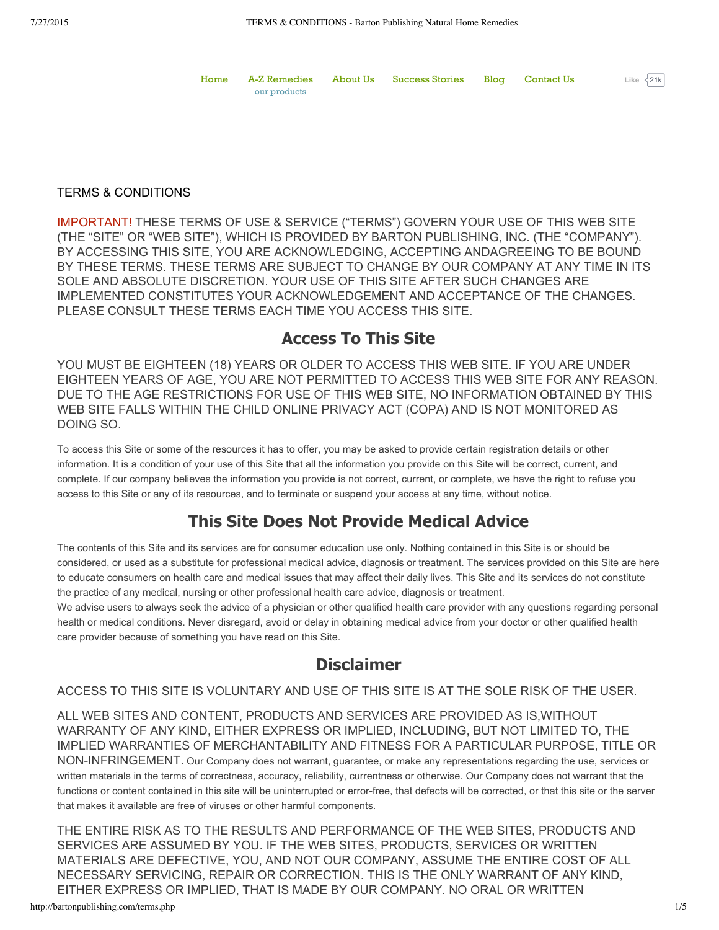|              | Home A-Z Remedies About Us Success Stories Blog Contact Us |  | Like $\sqrt{21k}$ |  |
|--------------|------------------------------------------------------------|--|-------------------|--|
| our products |                                                            |  |                   |  |

#### TERMS & CONDITIONS

IMPORTANT! THESE TERMS OF USE & SERVICE ("TERMS") GOVERN YOUR USE OF THIS WEB SITE (THE "SITE" OR "WEB SITE"), WHICH IS PROVIDED BY BARTON PUBLISHING, INC. (THE "COMPANY"). BY ACCESSING THIS SITE, YOU ARE ACKNOWLEDGING, ACCEPTING ANDAGREEING TO BE BOUND BY THESE TERMS. THESE TERMS ARE SUBJECT TO CHANGE BY OUR COMPANY AT ANY TIME IN ITS SOLE AND ABSOLUTE DISCRETION. YOUR USE OF THIS SITE AFTER SUCH CHANGES ARE IMPLEMENTED CONSTITUTES YOUR ACKNOWLEDGEMENT AND ACCEPTANCE OF THE CHANGES. PLEASE CONSULT THESE TERMS EACH TIME YOU ACCESS THIS SITE.

#### **Access To This Site**

YOU MUST BE EIGHTEEN (18) YEARS OR OLDER TO ACCESS THIS WEB SITE. IF YOU ARE UNDER EIGHTEEN YEARS OF AGE, YOU ARE NOT PERMITTED TO ACCESS THIS WEB SITE FOR ANY REASON. DUE TO THE AGE RESTRICTIONS FOR USE OF THIS WEB SITE, NO INFORMATION OBTAINED BY THIS WEB SITE FALLS WITHIN THE CHILD ONLINE PRIVACY ACT (COPA) AND IS NOT MONITORED AS DOING SO.

To access this Site or some of the resources it has to offer, you may be asked to provide certain registration details or other information. It is a condition of your use of this Site that all the information you provide on this Site will be correct, current, and complete. If our company believes the information you provide is not correct, current, or complete, we have the right to refuse you access to this Site or any of its resources, and to terminate or suspend your access at any time, without notice.

### **This Site Does Not Provide Medical Advice**

The contents of this Site and its services are for consumer education use only. Nothing contained in this Site is or should be considered, or used as a substitute for professional medical advice, diagnosis or treatment. The services provided on this Site are here to educate consumers on health care and medical issues that may affect their daily lives. This Site and its services do not constitute the practice of any medical, nursing or other professional health care advice, diagnosis or treatment.

We advise users to always seek the advice of a physician or other qualified health care provider with any questions regarding personal health or medical conditions. Never disregard, avoid or delay in obtaining medical advice from your doctor or other qualified health care provider because of something you have read on this Site.

### **Disclaimer**

ACCESS TO THIS SITE IS VOLUNTARY AND USE OF THIS SITE IS AT THE SOLE RISK OF THE USER.

ALL WEB SITES AND CONTENT, PRODUCTS AND SERVICES ARE PROVIDED AS IS,WITHOUT WARRANTY OF ANY KIND, EITHER EXPRESS OR IMPLIED, INCLUDING, BUT NOT LIMITED TO, THE IMPLIED WARRANTIES OF MERCHANTABILITY AND FITNESS FOR A PARTICULAR PURPOSE, TITLE OR NON-INFRINGEMENT. Our Company does not warrant, guarantee, or make any representations regarding the use, services or written materials in the terms of correctness, accuracy, reliability, currentness or otherwise. Our Company does not warrant that the functions or content contained in this site will be uninterrupted or error-free, that defects will be corrected, or that this site or the server that makes it available are free of viruses or other harmful components.

THE ENTIRE RISK AS TO THE RESULTS AND PERFORMANCE OF THE WEB SITES, PRODUCTS AND SERVICES ARE ASSUMED BY YOU. IF THE WEB SITES, PRODUCTS, SERVICES OR WRITTEN MATERIALS ARE DEFECTIVE, YOU, AND NOT OUR COMPANY, ASSUME THE ENTIRE COST OF ALL NECESSARY SERVICING, REPAIR OR CORRECTION. THIS IS THE ONLY WARRANT OF ANY KIND, EITHER EXPRESS OR IMPLIED, THAT IS MADE BY OUR COMPANY. NO ORAL OR WRITTEN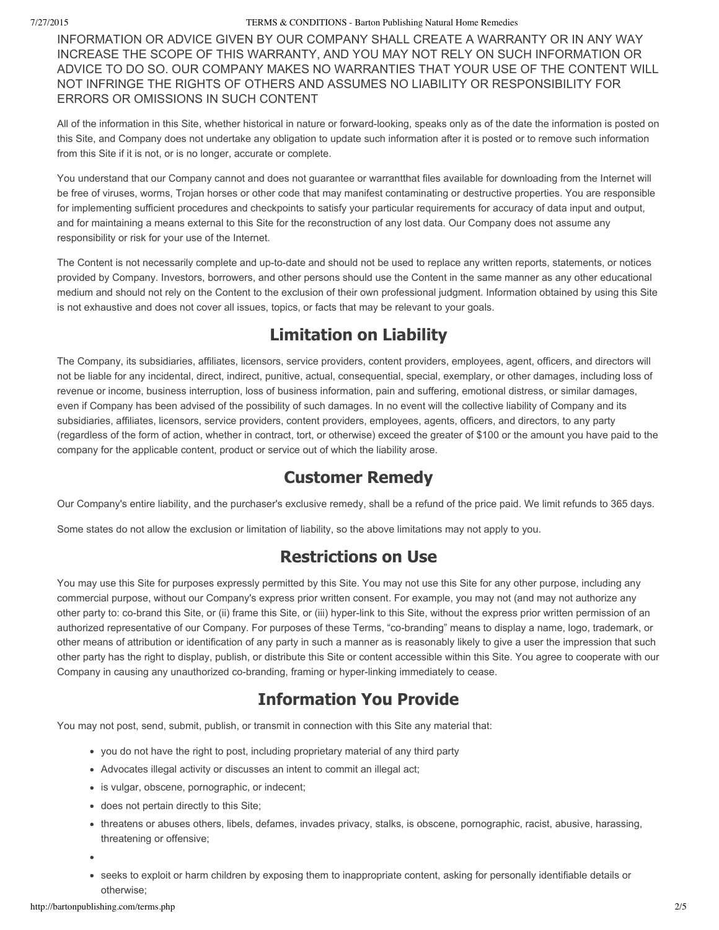#### 7/27/2015 TERMS & CONDITIONS - Barton Publishing Natural Home Remedies

INFORMATION OR ADVICE GIVEN BY OUR COMPANY SHALL CREATE A WARRANTY OR IN ANY WAY INCREASE THE SCOPE OF THIS WARRANTY, AND YOU MAY NOT RELY ON SUCH INFORMATION OR ADVICE TO DO SO. OUR COMPANY MAKES NO WARRANTIES THAT YOUR USE OF THE CONTENT WILL NOT INFRINGE THE RIGHTS OF OTHERS AND ASSUMES NO LIABILITY OR RESPONSIBILITY FOR ERRORS OR OMISSIONS IN SUCH CONTENT

All of the information in this Site, whether historical in nature or forward-looking, speaks only as of the date the information is posted on this Site, and Company does not undertake any obligation to update such information after it is posted or to remove such information from this Site if it is not, or is no longer, accurate or complete.

You understand that our Company cannot and does not guarantee or warrantthat files available for downloading from the Internet will be free of viruses, worms, Trojan horses or other code that may manifest contaminating or destructive properties. You are responsible for implementing sufficient procedures and checkpoints to satisfy your particular requirements for accuracy of data input and output, and for maintaining a means external to this Site for the reconstruction of any lost data. Our Company does not assume any responsibility or risk for your use of the Internet.

The Content is not necessarily complete and up-to-date and should not be used to replace any written reports, statements, or notices provided by Company. Investors, borrowers, and other persons should use the Content in the same manner as any other educational medium and should not rely on the Content to the exclusion of their own professional judgment. Information obtained by using this Site is not exhaustive and does not cover all issues, topics, or facts that may be relevant to your goals.

## **Limitation on Liability**

The Company, its subsidiaries, affiliates, licensors, service providers, content providers, employees, agent, officers, and directors will not be liable for any incidental, direct, indirect, punitive, actual, consequential, special, exemplary, or other damages, including loss of revenue or income, business interruption, loss of business information, pain and suffering, emotional distress, or similar damages, even if Company has been advised of the possibility of such damages. In no event will the collective liability of Company and its subsidiaries, affiliates, licensors, service providers, content providers, employees, agents, officers, and directors, to any party (regardless of the form of action, whether in contract, tort, or otherwise) exceed the greater of \$100 or the amount you have paid to the company for the applicable content, product or service out of which the liability arose.

### **Customer Remedy**

Our Company's entire liability, and the purchaser's exclusive remedy, shall be a refund of the price paid. We limit refunds to 365 days.

Some states do not allow the exclusion or limitation of liability, so the above limitations may not apply to you.

## **Restrictions on Use**

You may use this Site for purposes expressly permitted by this Site. You may not use this Site for any other purpose, including any commercial purpose, without our Company's express prior written consent. For example, you may not (and may not authorize any other party to: co-brand this Site, or (ii) frame this Site, or (iii) hyper-link to this Site, without the express prior written permission of an authorized representative of our Company. For purposes of these Terms, "co-branding" means to display a name, logo, trademark, or other means of attribution or identification of any party in such a manner as is reasonably likely to give a user the impression that such other party has the right to display, publish, or distribute this Site or content accessible within this Site. You agree to cooperate with our Company in causing any unauthorized co-branding, framing or hyper-linking immediately to cease.

# **Information You Provide**

You may not post, send, submit, publish, or transmit in connection with this Site any material that:

- you do not have the right to post, including proprietary material of any third party
- Advocates illegal activity or discusses an intent to commit an illegal act;
- is vulgar, obscene, pornographic, or indecent;
- does not pertain directly to this Site;
- threatens or abuses others, libels, defames, invades privacy, stalks, is obscene, pornographic, racist, abusive, harassing, threatening or offensive;
- 
- seeks to exploit or harm children by exposing them to inappropriate content, asking for personally identifiable details or otherwise;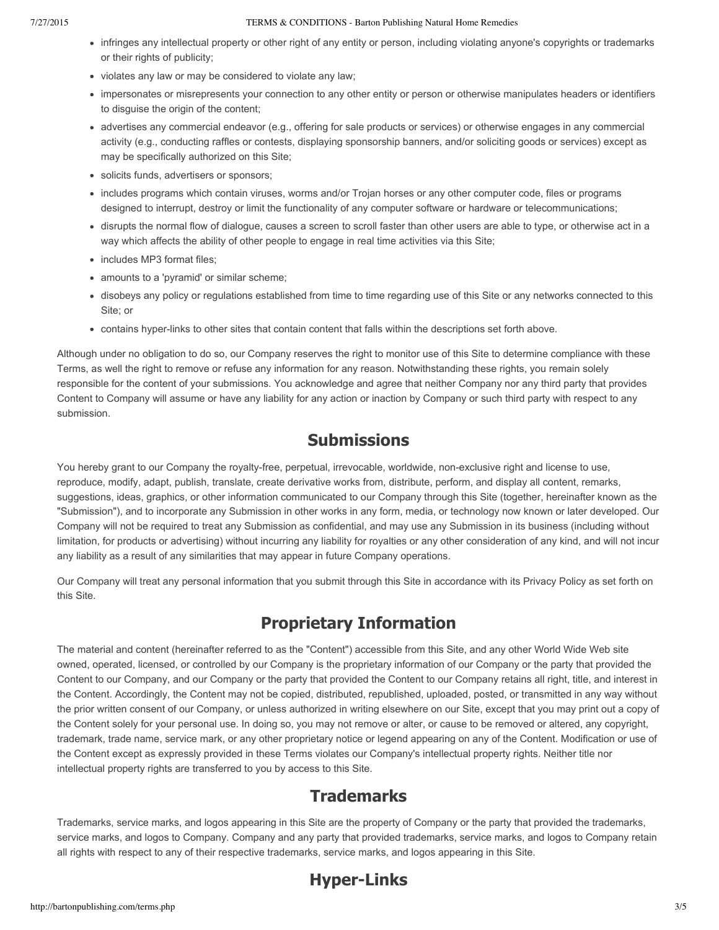#### 7/27/2015 TERMS & CONDITIONS - Barton Publishing Natural Home Remedies

- infringes any intellectual property or other right of any entity or person, including violating anyone's copyrights or trademarks or their rights of publicity;
- violates any law or may be considered to violate any law;
- impersonates or misrepresents your connection to any other entity or person or otherwise manipulates headers or identifiers to disguise the origin of the content;
- advertises any commercial endeavor (e.g., offering for sale products or services) or otherwise engages in any commercial activity (e.g., conducting raffles or contests, displaying sponsorship banners, and/or soliciting goods or services) except as may be specifically authorized on this Site;
- solicits funds, advertisers or sponsors;
- includes programs which contain viruses, worms and/or Trojan horses or any other computer code, files or programs designed to interrupt, destroy or limit the functionality of any computer software or hardware or telecommunications;
- disrupts the normal flow of dialogue, causes a screen to scroll faster than other users are able to type, or otherwise act in a way which affects the ability of other people to engage in real time activities via this Site;
- includes MP3 format files;
- amounts to a 'pyramid' or similar scheme;
- disobeys any policy or regulations established from time to time regarding use of this Site or any networks connected to this Site; or
- contains hyper-links to other sites that contain content that falls within the descriptions set forth above.

Although under no obligation to do so, our Company reserves the right to monitor use of this Site to determine compliance with these Terms, as well the right to remove or refuse any information for any reason. Notwithstanding these rights, you remain solely responsible for the content of your submissions. You acknowledge and agree that neither Company nor any third party that provides Content to Company will assume or have any liability for any action or inaction by Company or such third party with respect to any submission.

### **Submissions**

You hereby grant to our Company the royalty-free, perpetual, irrevocable, worldwide, non-exclusive right and license to use, reproduce, modify, adapt, publish, translate, create derivative works from, distribute, perform, and display all content, remarks, suggestions, ideas, graphics, or other information communicated to our Company through this Site (together, hereinafter known as the "Submission"), and to incorporate any Submission in other works in any form, media, or technology now known or later developed. Our Company will not be required to treat any Submission as confidential, and may use any Submission in its business (including without limitation, for products or advertising) without incurring any liability for royalties or any other consideration of any kind, and will not incur any liability as a result of any similarities that may appear in future Company operations.

Our Company will treat any personal information that you submit through this Site in accordance with its Privacy Policy as set forth on this Site.

# **Proprietary Information**

The material and content (hereinafter referred to as the "Content") accessible from this Site, and any other World Wide Web site owned, operated, licensed, or controlled by our Company is the proprietary information of our Company or the party that provided the Content to our Company, and our Company or the party that provided the Content to our Company retains all right, title, and interest in the Content. Accordingly, the Content may not be copied, distributed, republished, uploaded, posted, or transmitted in any way without the prior written consent of our Company, or unless authorized in writing elsewhere on our Site, except that you may print out a copy of the Content solely for your personal use. In doing so, you may not remove or alter, or cause to be removed or altered, any copyright, trademark, trade name, service mark, or any other proprietary notice or legend appearing on any of the Content. Modification or use of the Content except as expressly provided in these Terms violates our Company's intellectual property rights. Neither title nor intellectual property rights are transferred to you by access to this Site.

## **Trademarks**

Trademarks, service marks, and logos appearing in this Site are the property of Company or the party that provided the trademarks, service marks, and logos to Company. Company and any party that provided trademarks, service marks, and logos to Company retain all rights with respect to any of their respective trademarks, service marks, and logos appearing in this Site.

# **Hyper-Links**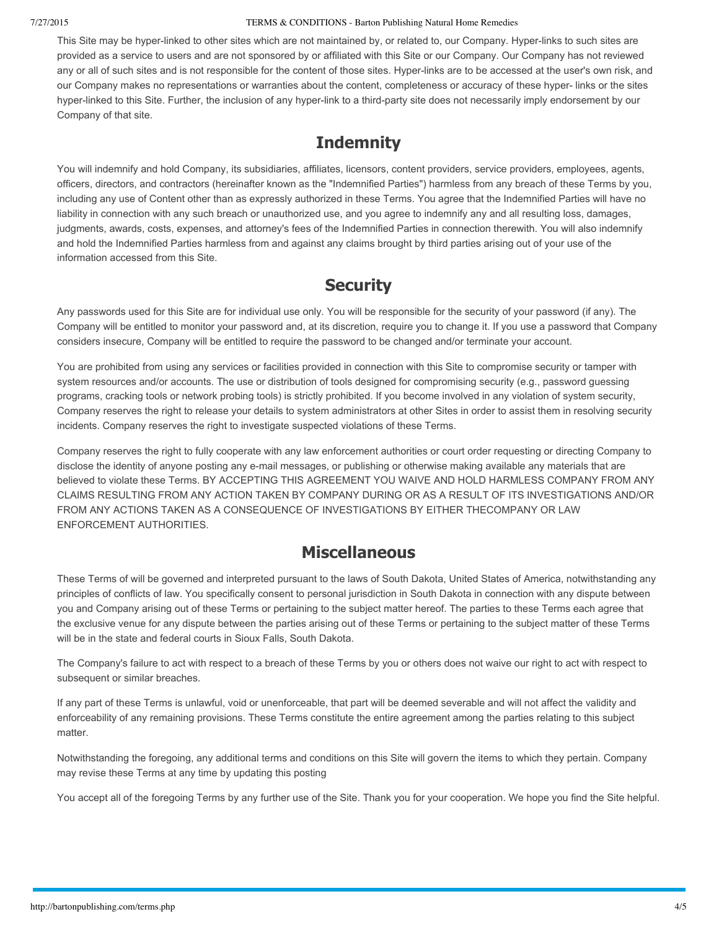#### 7/27/2015 TERMS & CONDITIONS - Barton Publishing Natural Home Remedies

This Site may be hyper-linked to other sites which are not maintained by, or related to, our Company. Hyper-links to such sites are provided as a service to users and are not sponsored by or affiliated with this Site or our Company. Our Company has not reviewed any or all of such sites and is not responsible for the content of those sites. Hyper-links are to be accessed at the user's own risk, and our Company makes no representations or warranties about the content, completeness or accuracy of these hyper- links or the sites hyper-linked to this Site. Further, the inclusion of any hyper-link to a third-party site does not necessarily imply endorsement by our Company of that site.

## **Indemnity**

You will indemnify and hold Company, its subsidiaries, affiliates, licensors, content providers, service providers, employees, agents, officers, directors, and contractors (hereinafter known as the "Indemnified Parties") harmless from any breach of these Terms by you, including any use of Content other than as expressly authorized in these Terms. You agree that the Indemnified Parties will have no liability in connection with any such breach or unauthorized use, and you agree to indemnify any and all resulting loss, damages, judgments, awards, costs, expenses, and attorney's fees of the Indemnified Parties in connection therewith. You will also indemnify and hold the Indemnified Parties harmless from and against any claims brought by third parties arising out of your use of the information accessed from this Site.

## **Security**

Any passwords used for this Site are for individual use only. You will be responsible for the security of your password (if any). The Company will be entitled to monitor your password and, at its discretion, require you to change it. If you use a password that Company considers insecure, Company will be entitled to require the password to be changed and/or terminate your account.

You are prohibited from using any services or facilities provided in connection with this Site to compromise security or tamper with system resources and/or accounts. The use or distribution of tools designed for compromising security (e.g., password guessing programs, cracking tools or network probing tools) is strictly prohibited. If you become involved in any violation of system security, Company reserves the right to release your details to system administrators at other Sites in order to assist them in resolving security incidents. Company reserves the right to investigate suspected violations of these Terms.

Company reserves the right to fully cooperate with any law enforcement authorities or court order requesting or directing Company to disclose the identity of anyone posting any e-mail messages, or publishing or otherwise making available any materials that are believed to violate these Terms. BY ACCEPTING THIS AGREEMENT YOU WAIVE AND HOLD HARMLESS COMPANY FROM ANY CLAIMS RESULTING FROM ANY ACTION TAKEN BY COMPANY DURING OR AS A RESULT OF ITS INVESTIGATIONS AND/OR FROM ANY ACTIONS TAKEN AS A CONSEQUENCE OF INVESTIGATIONS BY EITHER THECOMPANY OR LAW ENFORCEMENT AUTHORITIES.

### **Miscellaneous**

These Terms of will be governed and interpreted pursuant to the laws of South Dakota, United States of America, notwithstanding any principles of conflicts of law. You specifically consent to personal jurisdiction in South Dakota in connection with any dispute between you and Company arising out of these Terms or pertaining to the subject matter hereof. The parties to these Terms each agree that the exclusive venue for any dispute between the parties arising out of these Terms or pertaining to the subject matter of these Terms will be in the state and federal courts in Sioux Falls, South Dakota.

The Company's failure to act with respect to a breach of these Terms by you or others does not waive our right to act with respect to subsequent or similar breaches.

If any part of these Terms is unlawful, void or unenforceable, that part will be deemed severable and will not affect the validity and enforceability of any remaining provisions. These Terms constitute the entire agreement among the parties relating to this subject matter.

Notwithstanding the foregoing, any additional terms and conditions on this Site will govern the items to which they pertain. Company may revise these Terms at any time by updating this posting

You accept all of the foregoing Terms by any further use of the Site. Thank you for your cooperation. We hope you find the Site helpful.